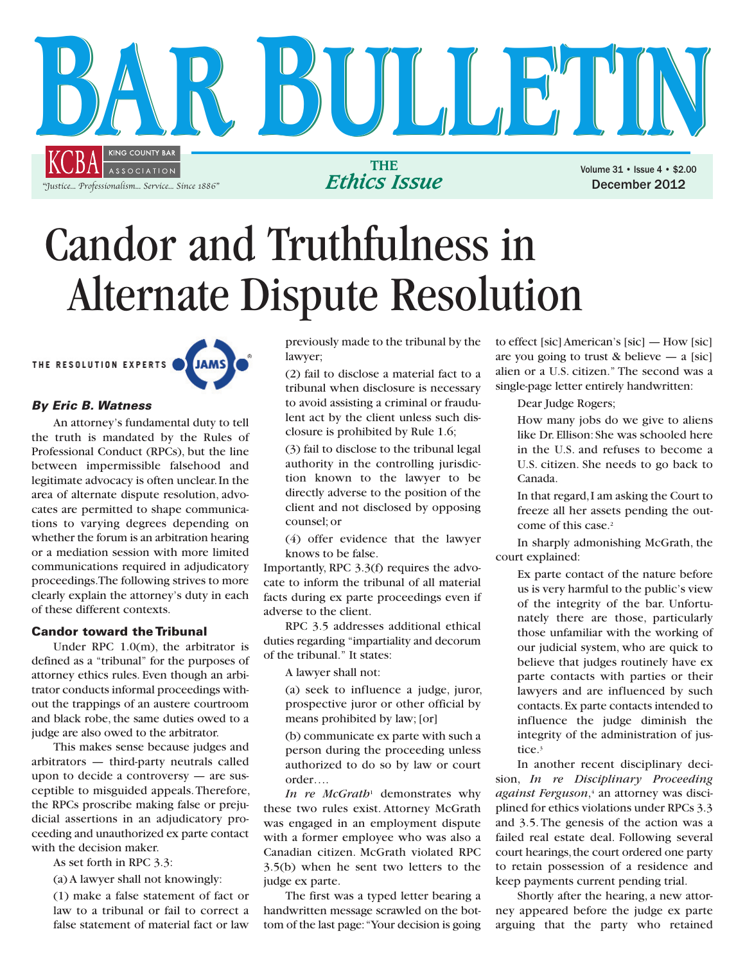

## Candor and Truthfulness in Alternate Dispute Resolution

THE RESOLUTION EXPERTS **JAM** 

## **By Eric B. Watness**

An attorney's fundamental duty to tell the truth is mandated by the Rules of Professional Conduct (RPCs), but the line between impermissible falsehood and legitimate advocacy is often unclear. In the area of alternate dispute resolution, advocates are permitted to shape communications to varying degrees depending on whether the forum is an arbitration hearing or a mediation session with more limited communications required in adjudicatory proceedings. The following strives to more clearly explain the attorney's duty in each of these different contexts.

## **Candor toward the Tribunal**

Under RPC 1.0(m), the arbitrator is defined as a "tribunal" for the purposes of attorney ethics rules. Even though an arbitrator conducts informal proceedings without the trappings of an austere courtroom and black robe, the same duties owed to a judge are also owed to the arbitrator.

This makes sense because judges and arbitrators — third-party neutrals called upon to decide a controversy — are susceptible to misguided appeals. Therefore, the RPCs proscribe making false or prejudicial assertions in an adjudicatory proceeding and unauthorized ex parte contact with the decision maker.

As set forth in RPC 3.3:

(a) A lawyer shall not knowingly:

(1) make a false statement of fact or law to a tribunal or fail to correct a false statement of material fact or law

previously made to the tribunal by the lawyer;

(2) fail to disclose a material fact to a tribunal when disclosure is necessary to avoid assisting a criminal or fraudulent act by the client unless such disclosure is prohibited by Rule 1.6;

(3) fail to disclose to the tribunal legal authority in the controlling jurisdiction known to the lawyer to be directly adverse to the position of the client and not disclosed by opposing counsel; or

(4) offer evidence that the lawyer knows to be false.

Importantly, RPC 3.3(f) requires the advocate to inform the tribunal of all material facts during ex parte proceedings even if adverse to the client.

RPC 3.5 addresses additional ethical duties regarding "impartiality and decorum of the tribunal." It states:

A lawyer shall not:

(a) seek to influence a judge, juror, prospective juror or other official by means prohibited by law; [or]

(b) communicate ex parte with such a person during the proceeding unless authorized to do so by law or court order….

*In re McGrath*<sup>1</sup> demonstrates why these two rules exist. Attorney McGrath was engaged in an employment dispute with a former employee who was also a Canadian citizen. McGrath violated RPC 3.5(b) when he sent two letters to the judge ex parte.

The first was a typed letter bearing a handwritten message scrawled on the bottom of the last page: "Your decision is going

to effect [sic] American's [sic] — How [sic] are you going to trust  $\&$  believe — a [sic] alien or a U.S. citizen." The second was a single-page letter entirely handwritten:

Dear Judge Rogers;

How many jobs do we give to aliens like Dr. Ellison: She was schooled here in the U.S. and refuses to become a U.S. citizen. She needs to go back to Canada.

In that regard, I am asking the Court to freeze all her assets pending the outcome of this case.2

In sharply admonishing McGrath, the court explained:

Ex parte contact of the nature before us is very harmful to the public's view of the integrity of the bar. Unfortunately there are those, particularly those unfamiliar with the working of our judicial system, who are quick to believe that judges routinely have ex parte contacts with parties or their lawyers and are influenced by such contacts. Ex parte contacts intended to influence the judge diminish the integrity of the administration of justice.3

In another recent disciplinary decision, *In re Disciplinary Proceeding against Ferguson*,4 an attorney was disciplined for ethics violations under RPCs 3.3 and 3.5. The genesis of the action was a failed real estate deal. Following several court hearings, the court ordered one party to retain possession of a residence and keep payments current pending trial.

Shortly after the hearing, a new attorney appeared before the judge ex parte arguing that the party who retained